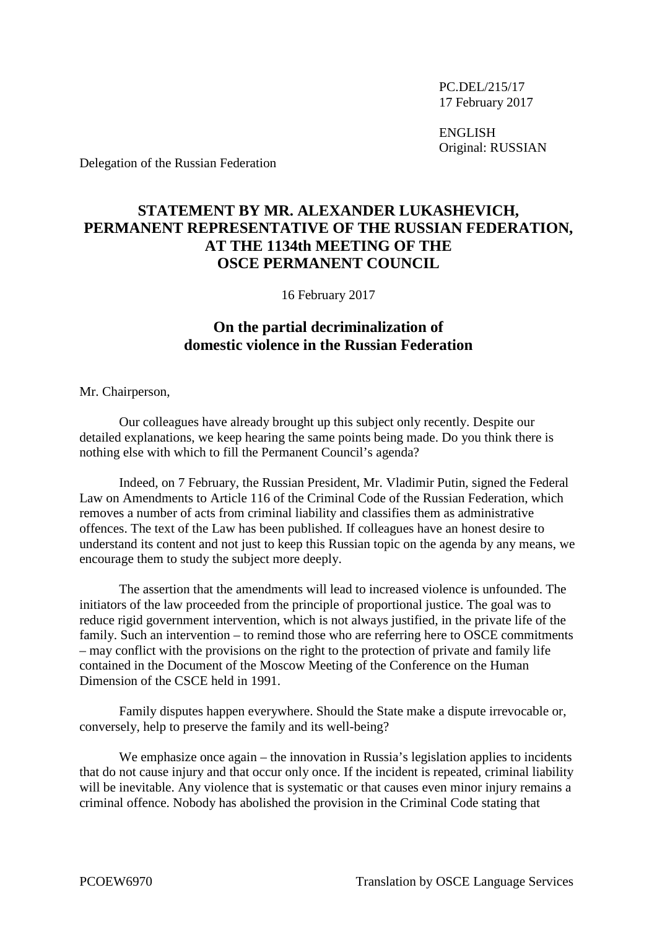PC.DEL/215/17 17 February 2017

ENGLISH Original: RUSSIAN

Delegation of the Russian Federation

## **STATEMENT BY MR. ALEXANDER LUKASHEVICH, PERMANENT REPRESENTATIVE OF THE RUSSIAN FEDERATION, AT THE 1134th MEETING OF THE OSCE PERMANENT COUNCIL**

16 February 2017

## **On the partial decriminalization of domestic violence in the Russian Federation**

Mr. Chairperson,

Our colleagues have already brought up this subject only recently. Despite our detailed explanations, we keep hearing the same points being made. Do you think there is nothing else with which to fill the Permanent Council's agenda?

Indeed, on 7 February, the Russian President, Mr. Vladimir Putin, signed the Federal Law on Amendments to Article 116 of the Criminal Code of the Russian Federation, which removes a number of acts from criminal liability and classifies them as administrative offences. The text of the Law has been published. If colleagues have an honest desire to understand its content and not just to keep this Russian topic on the agenda by any means, we encourage them to study the subject more deeply.

The assertion that the amendments will lead to increased violence is unfounded. The initiators of the law proceeded from the principle of proportional justice. The goal was to reduce rigid government intervention, which is not always justified, in the private life of the family. Such an intervention – to remind those who are referring here to OSCE commitments – may conflict with the provisions on the right to the protection of private and family life contained in the Document of the Moscow Meeting of the Conference on the Human Dimension of the CSCE held in 1991.

Family disputes happen everywhere. Should the State make a dispute irrevocable or, conversely, help to preserve the family and its well-being?

We emphasize once again – the innovation in Russia's legislation applies to incidents that do not cause injury and that occur only once. If the incident is repeated, criminal liability will be inevitable. Any violence that is systematic or that causes even minor injury remains a criminal offence. Nobody has abolished the provision in the Criminal Code stating that